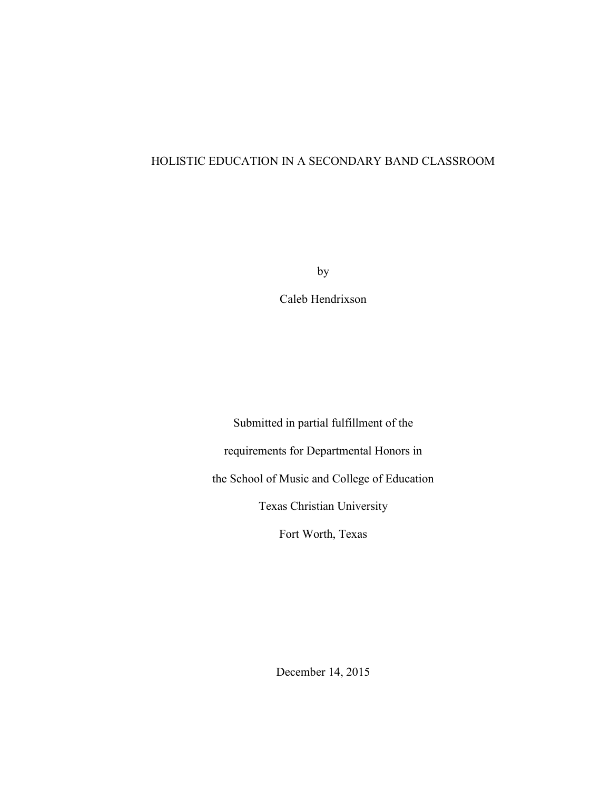## HOLISTIC EDUCATION IN A SECONDARY BAND CLASSROOM

by

Caleb Hendrixson

Submitted in partial fulfillment of the requirements for Departmental Honors in the School of Music and College of Education Texas Christian University

Fort Worth, Texas

December 14, 2015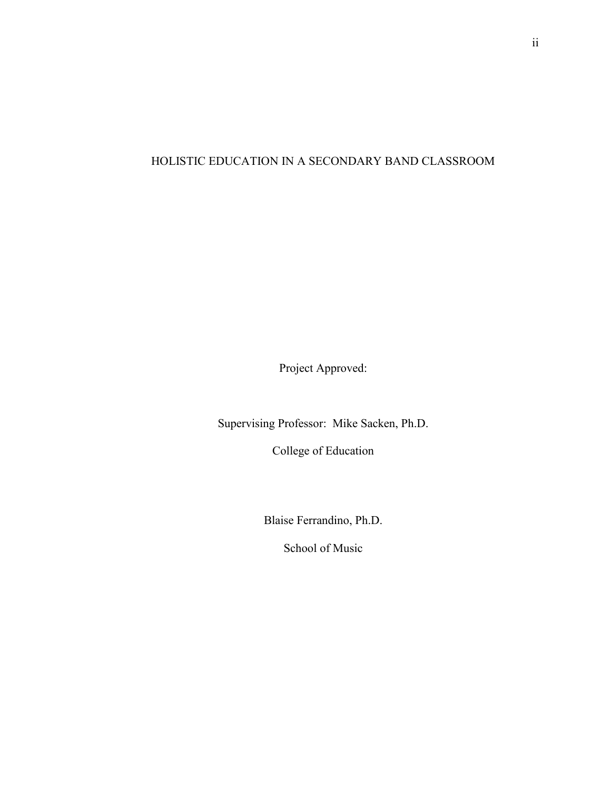# HOLISTIC EDUCATION IN A SECONDARY BAND CLASSROOM

Project Approved:

Supervising Professor: Mike Sacken, Ph.D.

College of Education

Blaise Ferrandino, Ph.D.

School of Music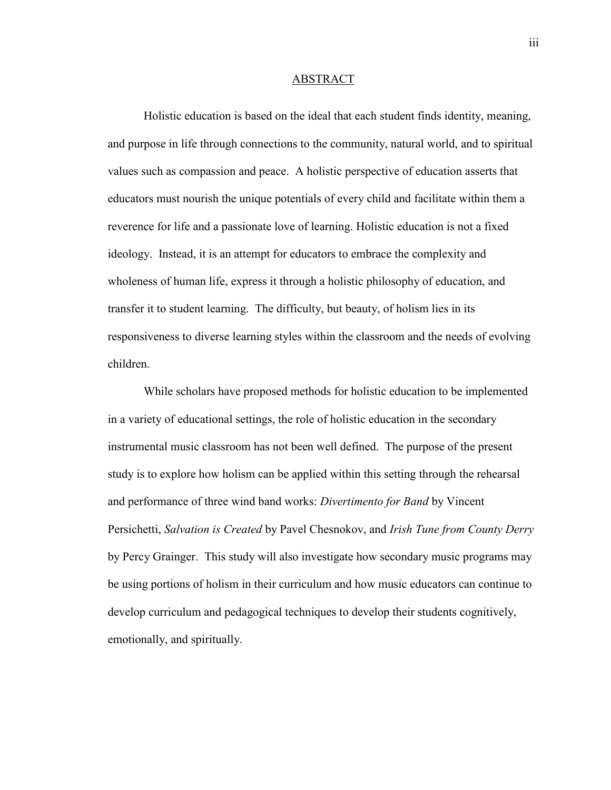#### ABSTRACT

Holistic education is based on the ideal that each student finds identity, meaning, and purpose in life through connections to the community, natural world, and to spiritual values such as compassion and peace. A holistic perspective of education asserts that educators must nourish the unique potentials of every child and facilitate within them a reverence for life and a passionate love of learning. Holistic education is not a fixed ideology. Instead, it is an attempt for educators to embrace the complexity and wholeness of human life, express it through a holistic philosophy of education, and transfer it to student learning. The difficulty, but beauty, of holism lies in its responsiveness to diverse learning styles within the classroom and the needs of evolving children.

While scholars have proposed methods for holistic education to be implemented in a variety of educational settings, the role of holistic education in the secondary instrumental music classroom has not been well defined. The purpose of the present study is to explore how holism can be applied within this setting through the rehearsal and performance of three wind band works: *Divertimento for Band* by Vincent Persichetti, *Salvation is Created* by Pavel Chesnokov, and *Irish Tune from County Derry* by Percy Grainger. This study will also investigate how secondary music programs may be using portions of holism in their curriculum and how music educators can continue to develop curriculum and pedagogical techniques to develop their students cognitively, emotionally, and spiritually.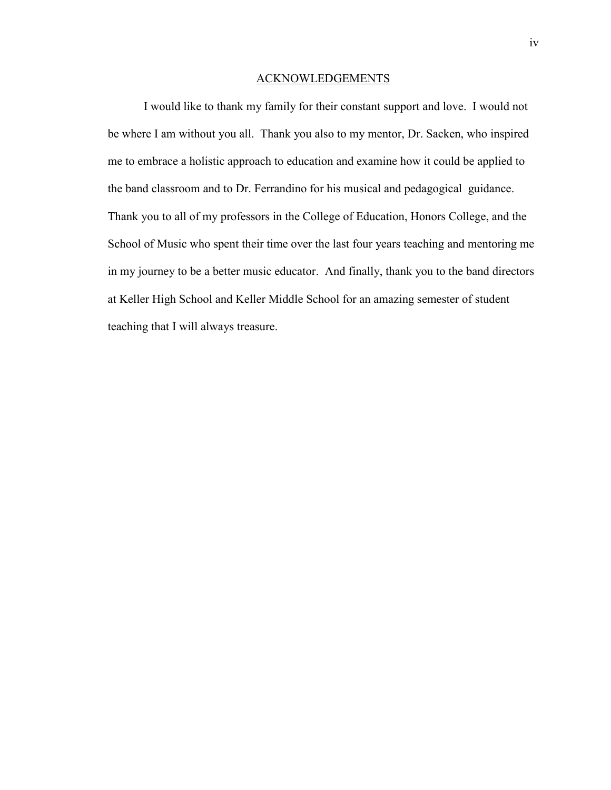#### ACKNOWLEDGEMENTS

I would like to thank my family for their constant support and love. I would not be where I am without you all. Thank you also to my mentor, Dr. Sacken, who inspired me to embrace a holistic approach to education and examine how it could be applied to the band classroom and to Dr. Ferrandino for his musical and pedagogical guidance. Thank you to all of my professors in the College of Education, Honors College, and the School of Music who spent their time over the last four years teaching and mentoring me in my journey to be a better music educator. And finally, thank you to the band directors at Keller High School and Keller Middle School for an amazing semester of student teaching that I will always treasure.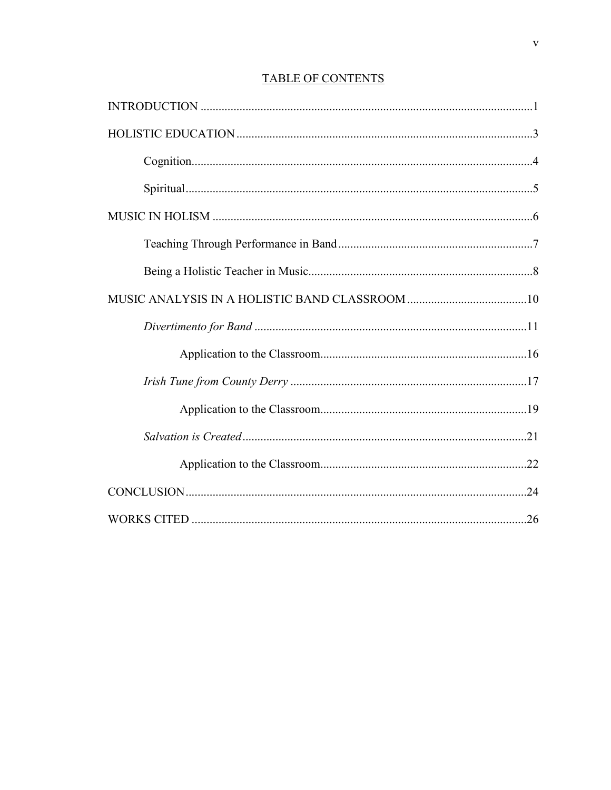## **TABLE OF CONTENTS**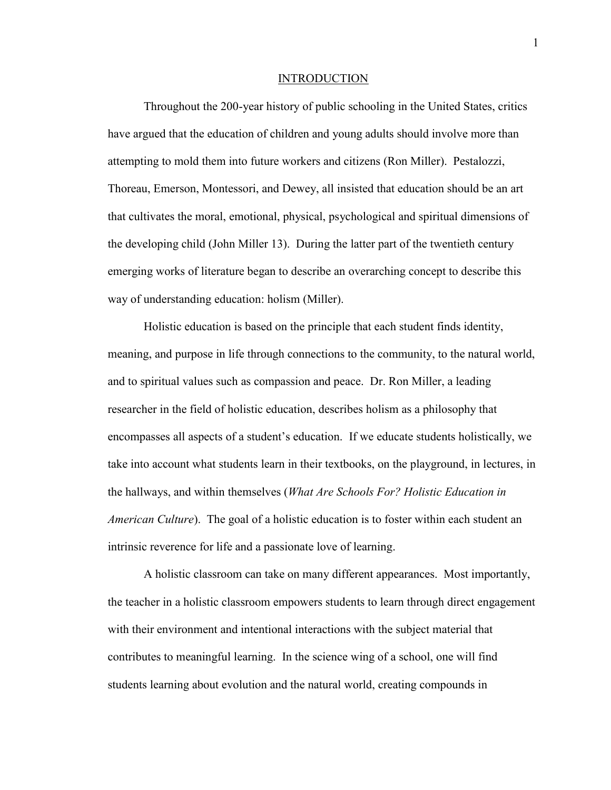#### INTRODUCTION

Throughout the 200-year history of public schooling in the United States, critics have argued that the education of children and young adults should involve more than attempting to mold them into future workers and citizens (Ron Miller). Pestalozzi, Thoreau, Emerson, Montessori, and Dewey, all insisted that education should be an art that cultivates the moral, emotional, physical, psychological and spiritual dimensions of the developing child (John Miller 13). During the latter part of the twentieth century emerging works of literature began to describe an overarching concept to describe this way of understanding education: holism (Miller).

Holistic education is based on the principle that each student finds identity, meaning, and purpose in life through connections to the community, to the natural world, and to spiritual values such as compassion and peace. Dr. Ron Miller, a leading researcher in the field of holistic education, describes holism as a philosophy that encompasses all aspects of a student's education. If we educate students holistically, we take into account what students learn in their textbooks, on the playground, in lectures, in the hallways, and within themselves (*What Are Schools For? Holistic Education in American Culture*). The goal of a holistic education is to foster within each student an intrinsic reverence for life and a passionate love of learning.

A holistic classroom can take on many different appearances. Most importantly, the teacher in a holistic classroom empowers students to learn through direct engagement with their environment and intentional interactions with the subject material that contributes to meaningful learning. In the science wing of a school, one will find students learning about evolution and the natural world, creating compounds in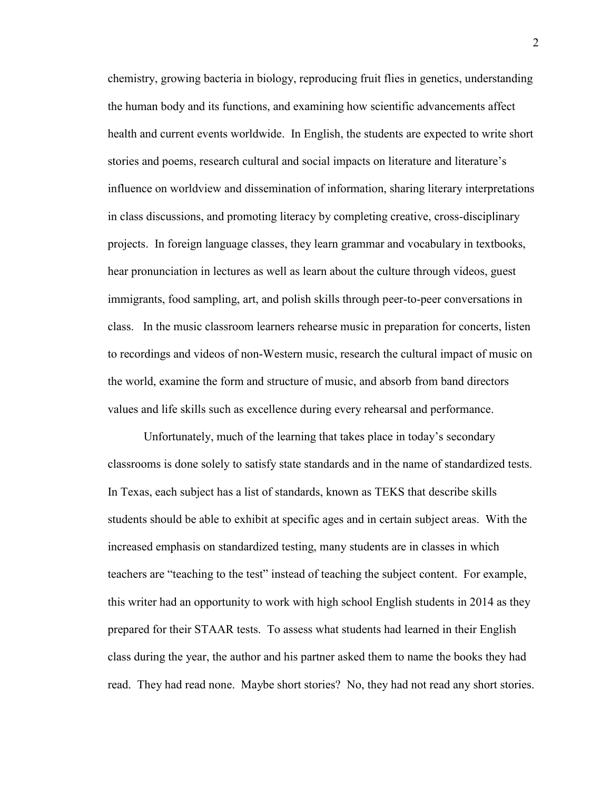chemistry, growing bacteria in biology, reproducing fruit flies in genetics, understanding the human body and its functions, and examining how scientific advancements affect health and current events worldwide. In English, the students are expected to write short stories and poems, research cultural and social impacts on literature and literature's influence on worldview and dissemination of information, sharing literary interpretations in class discussions, and promoting literacy by completing creative, cross-disciplinary projects. In foreign language classes, they learn grammar and vocabulary in textbooks, hear pronunciation in lectures as well as learn about the culture through videos, guest immigrants, food sampling, art, and polish skills through peer-to-peer conversations in class. In the music classroom learners rehearse music in preparation for concerts, listen to recordings and videos of non-Western music, research the cultural impact of music on the world, examine the form and structure of music, and absorb from band directors values and life skills such as excellence during every rehearsal and performance.

Unfortunately, much of the learning that takes place in today's secondary classrooms is done solely to satisfy state standards and in the name of standardized tests. In Texas, each subject has a list of standards, known as TEKS that describe skills students should be able to exhibit at specific ages and in certain subject areas. With the increased emphasis on standardized testing, many students are in classes in which teachers are "teaching to the test" instead of teaching the subject content. For example, this writer had an opportunity to work with high school English students in 2014 as they prepared for their STAAR tests. To assess what students had learned in their English class during the year, the author and his partner asked them to name the books they had read. They had read none. Maybe short stories? No, they had not read any short stories.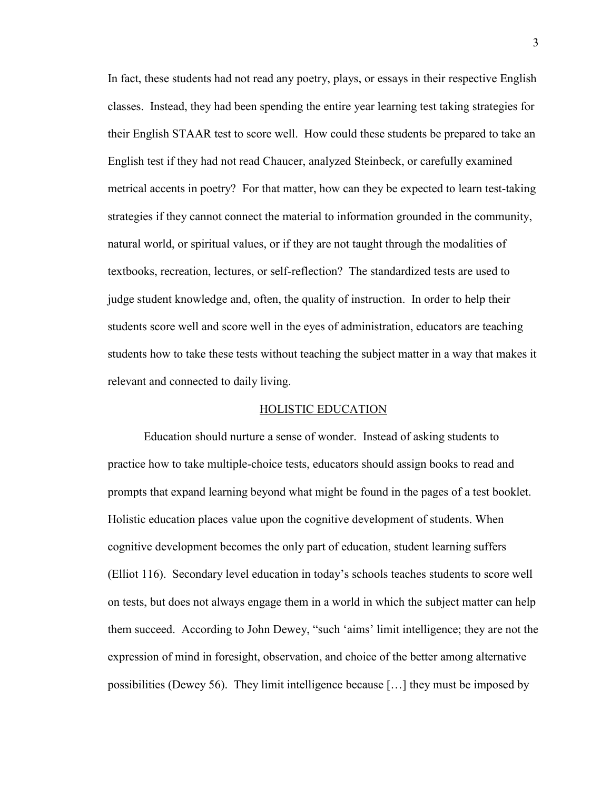In fact, these students had not read any poetry, plays, or essays in their respective English classes. Instead, they had been spending the entire year learning test taking strategies for their English STAAR test to score well. How could these students be prepared to take an English test if they had not read Chaucer, analyzed Steinbeck, or carefully examined metrical accents in poetry? For that matter, how can they be expected to learn test-taking strategies if they cannot connect the material to information grounded in the community, natural world, or spiritual values, or if they are not taught through the modalities of textbooks, recreation, lectures, or self-reflection? The standardized tests are used to judge student knowledge and, often, the quality of instruction. In order to help their students score well and score well in the eyes of administration, educators are teaching students how to take these tests without teaching the subject matter in a way that makes it relevant and connected to daily living.

## HOLISTIC EDUCATION

Education should nurture a sense of wonder. Instead of asking students to practice how to take multiple-choice tests, educators should assign books to read and prompts that expand learning beyond what might be found in the pages of a test booklet. Holistic education places value upon the cognitive development of students. When cognitive development becomes the only part of education, student learning suffers (Elliot 116). Secondary level education in today's schools teaches students to score well on tests, but does not always engage them in a world in which the subject matter can help them succeed. According to John Dewey, "such 'aims' limit intelligence; they are not the expression of mind in foresight, observation, and choice of the better among alternative possibilities (Dewey 56). They limit intelligence because […] they must be imposed by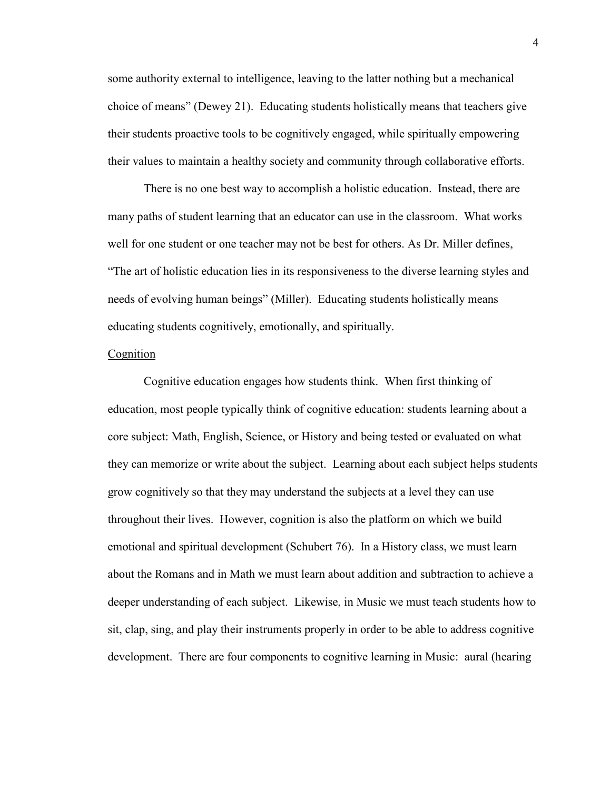some authority external to intelligence, leaving to the latter nothing but a mechanical choice of means" (Dewey 21). Educating students holistically means that teachers give their students proactive tools to be cognitively engaged, while spiritually empowering their values to maintain a healthy society and community through collaborative efforts.

There is no one best way to accomplish a holistic education. Instead, there are many paths of student learning that an educator can use in the classroom. What works well for one student or one teacher may not be best for others. As Dr. Miller defines, "The art of holistic education lies in its responsiveness to the diverse learning styles and needs of evolving human beings" (Miller). Educating students holistically means educating students cognitively, emotionally, and spiritually.

## Cognition

Cognitive education engages how students think. When first thinking of education, most people typically think of cognitive education: students learning about a core subject: Math, English, Science, or History and being tested or evaluated on what they can memorize or write about the subject. Learning about each subject helps students grow cognitively so that they may understand the subjects at a level they can use throughout their lives. However, cognition is also the platform on which we build emotional and spiritual development (Schubert 76). In a History class, we must learn about the Romans and in Math we must learn about addition and subtraction to achieve a deeper understanding of each subject. Likewise, in Music we must teach students how to sit, clap, sing, and play their instruments properly in order to be able to address cognitive development. There are four components to cognitive learning in Music: aural (hearing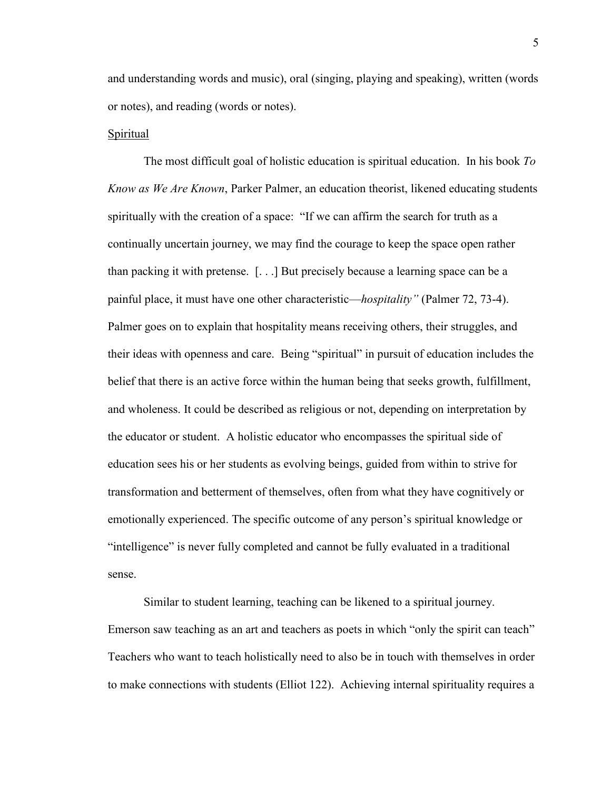and understanding words and music), oral (singing, playing and speaking), written (words or notes), and reading (words or notes).

#### Spiritual

The most difficult goal of holistic education is spiritual education. In his book *To Know as We Are Known*, Parker Palmer, an education theorist, likened educating students spiritually with the creation of a space: "If we can affirm the search for truth as a continually uncertain journey, we may find the courage to keep the space open rather than packing it with pretense. [. . .] But precisely because a learning space can be a painful place, it must have one other characteristic—*hospitality"* (Palmer 72, 73-4). Palmer goes on to explain that hospitality means receiving others, their struggles, and their ideas with openness and care. Being "spiritual" in pursuit of education includes the belief that there is an active force within the human being that seeks growth, fulfillment, and wholeness. It could be described as religious or not, depending on interpretation by the educator or student. A holistic educator who encompasses the spiritual side of education sees his or her students as evolving beings, guided from within to strive for transformation and betterment of themselves, often from what they have cognitively or emotionally experienced. The specific outcome of any person's spiritual knowledge or "intelligence" is never fully completed and cannot be fully evaluated in a traditional sense.

Similar to student learning, teaching can be likened to a spiritual journey. Emerson saw teaching as an art and teachers as poets in which "only the spirit can teach" Teachers who want to teach holistically need to also be in touch with themselves in order to make connections with students (Elliot 122). Achieving internal spirituality requires a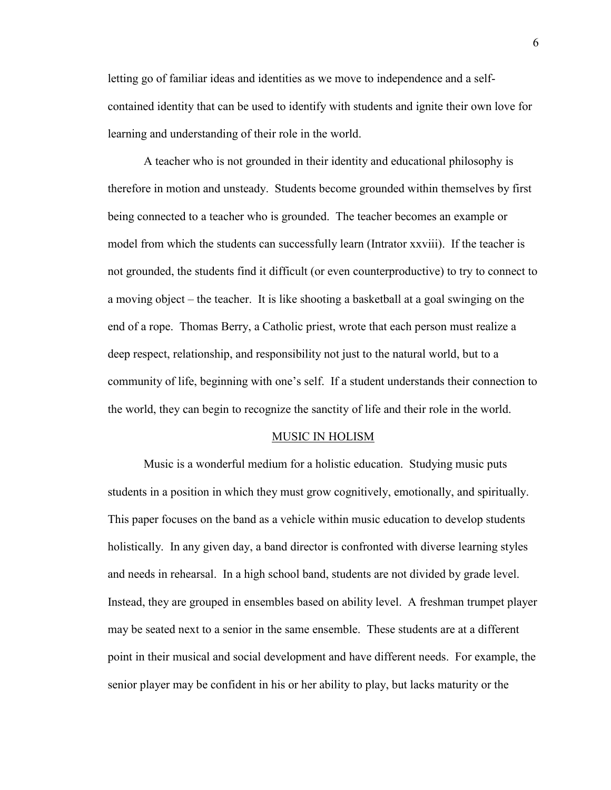letting go of familiar ideas and identities as we move to independence and a selfcontained identity that can be used to identify with students and ignite their own love for learning and understanding of their role in the world.

A teacher who is not grounded in their identity and educational philosophy is therefore in motion and unsteady. Students become grounded within themselves by first being connected to a teacher who is grounded. The teacher becomes an example or model from which the students can successfully learn (Intrator xxviii). If the teacher is not grounded, the students find it difficult (or even counterproductive) to try to connect to a moving object – the teacher. It is like shooting a basketball at a goal swinging on the end of a rope. Thomas Berry, a Catholic priest, wrote that each person must realize a deep respect, relationship, and responsibility not just to the natural world, but to a community of life, beginning with one's self. If a student understands their connection to the world, they can begin to recognize the sanctity of life and their role in the world.

#### MUSIC IN HOLISM

Music is a wonderful medium for a holistic education. Studying music puts students in a position in which they must grow cognitively, emotionally, and spiritually. This paper focuses on the band as a vehicle within music education to develop students holistically. In any given day, a band director is confronted with diverse learning styles and needs in rehearsal. In a high school band, students are not divided by grade level. Instead, they are grouped in ensembles based on ability level. A freshman trumpet player may be seated next to a senior in the same ensemble. These students are at a different point in their musical and social development and have different needs. For example, the senior player may be confident in his or her ability to play, but lacks maturity or the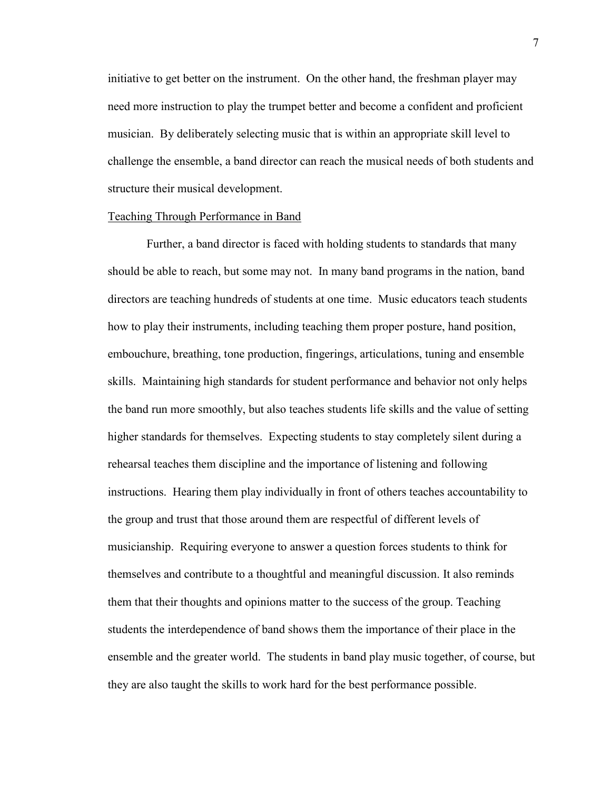initiative to get better on the instrument. On the other hand, the freshman player may need more instruction to play the trumpet better and become a confident and proficient musician. By deliberately selecting music that is within an appropriate skill level to challenge the ensemble, a band director can reach the musical needs of both students and structure their musical development.

#### Teaching Through Performance in Band

Further, a band director is faced with holding students to standards that many should be able to reach, but some may not. In many band programs in the nation, band directors are teaching hundreds of students at one time. Music educators teach students how to play their instruments, including teaching them proper posture, hand position, embouchure, breathing, tone production, fingerings, articulations, tuning and ensemble skills. Maintaining high standards for student performance and behavior not only helps the band run more smoothly, but also teaches students life skills and the value of setting higher standards for themselves. Expecting students to stay completely silent during a rehearsal teaches them discipline and the importance of listening and following instructions. Hearing them play individually in front of others teaches accountability to the group and trust that those around them are respectful of different levels of musicianship. Requiring everyone to answer a question forces students to think for themselves and contribute to a thoughtful and meaningful discussion. It also reminds them that their thoughts and opinions matter to the success of the group. Teaching students the interdependence of band shows them the importance of their place in the ensemble and the greater world. The students in band play music together, of course, but they are also taught the skills to work hard for the best performance possible.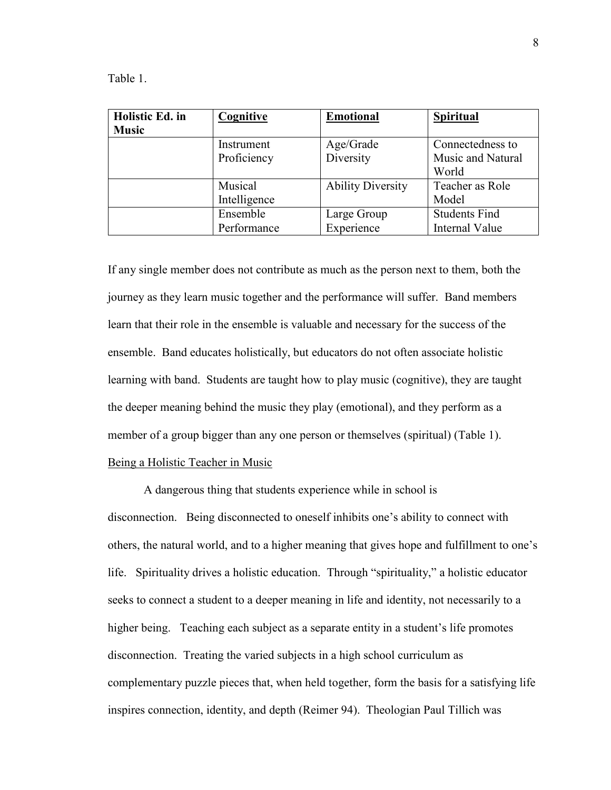Table 1.

| Holistic Ed. in | Cognitive    | <b>Emotional</b>         | <b>Spiritual</b>     |
|-----------------|--------------|--------------------------|----------------------|
| <b>Music</b>    |              |                          |                      |
|                 | Instrument   | Age/Grade                | Connectedness to     |
|                 | Proficiency  | Diversity                | Music and Natural    |
|                 |              |                          | World                |
|                 | Musical      | <b>Ability Diversity</b> | Teacher as Role      |
|                 | Intelligence |                          | Model                |
|                 | Ensemble     | Large Group              | <b>Students Find</b> |
|                 | Performance  | Experience               | Internal Value       |

If any single member does not contribute as much as the person next to them, both the journey as they learn music together and the performance will suffer. Band members learn that their role in the ensemble is valuable and necessary for the success of the ensemble. Band educates holistically, but educators do not often associate holistic learning with band. Students are taught how to play music (cognitive), they are taught the deeper meaning behind the music they play (emotional), and they perform as a member of a group bigger than any one person or themselves (spiritual) (Table 1). Being a Holistic Teacher in Music

A dangerous thing that students experience while in school is disconnection. Being disconnected to oneself inhibits one's ability to connect with others, the natural world, and to a higher meaning that gives hope and fulfillment to one's life. Spirituality drives a holistic education. Through "spirituality," a holistic educator seeks to connect a student to a deeper meaning in life and identity, not necessarily to a higher being. Teaching each subject as a separate entity in a student's life promotes disconnection. Treating the varied subjects in a high school curriculum as complementary puzzle pieces that, when held together, form the basis for a satisfying life inspires connection, identity, and depth (Reimer 94). Theologian Paul Tillich was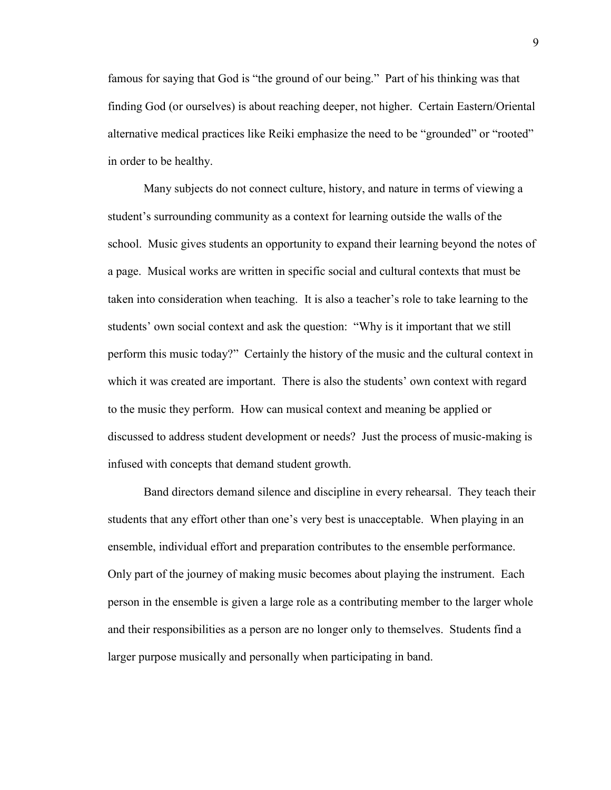famous for saying that God is "the ground of our being." Part of his thinking was that finding God (or ourselves) is about reaching deeper, not higher. Certain Eastern/Oriental alternative medical practices like Reiki emphasize the need to be "grounded" or "rooted" in order to be healthy.

Many subjects do not connect culture, history, and nature in terms of viewing a student's surrounding community as a context for learning outside the walls of the school. Music gives students an opportunity to expand their learning beyond the notes of a page. Musical works are written in specific social and cultural contexts that must be taken into consideration when teaching. It is also a teacher's role to take learning to the students' own social context and ask the question: "Why is it important that we still perform this music today?" Certainly the history of the music and the cultural context in which it was created are important. There is also the students' own context with regard to the music they perform. How can musical context and meaning be applied or discussed to address student development or needs? Just the process of music-making is infused with concepts that demand student growth.

Band directors demand silence and discipline in every rehearsal. They teach their students that any effort other than one's very best is unacceptable. When playing in an ensemble, individual effort and preparation contributes to the ensemble performance. Only part of the journey of making music becomes about playing the instrument. Each person in the ensemble is given a large role as a contributing member to the larger whole and their responsibilities as a person are no longer only to themselves. Students find a larger purpose musically and personally when participating in band.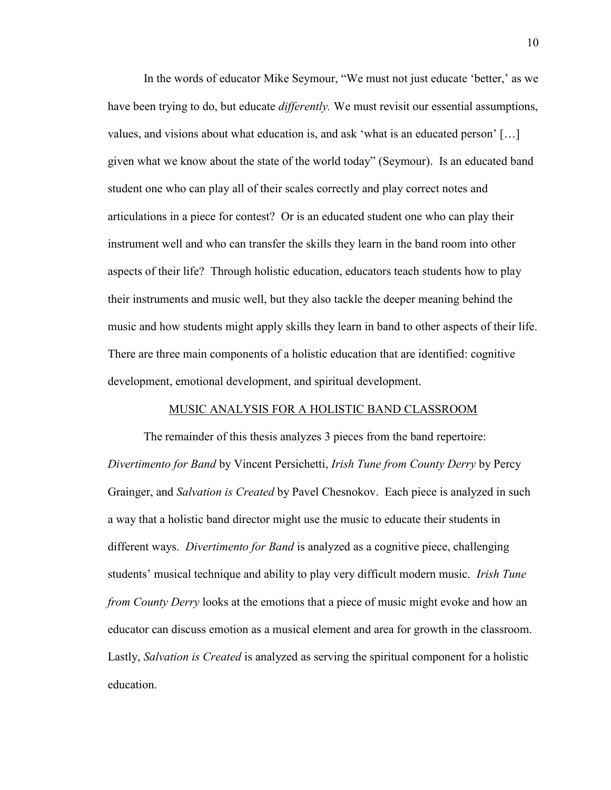In the words of educator Mike Seymour, "We must not just educate 'better,' as we have been trying to do, but educate *differently.* We must revisit our essential assumptions, values, and visions about what education is, and ask 'what is an educated person' […] given what we know about the state of the world today" (Seymour). Is an educated band student one who can play all of their scales correctly and play correct notes and articulations in a piece for contest? Or is an educated student one who can play their instrument well and who can transfer the skills they learn in the band room into other aspects of their life? Through holistic education, educators teach students how to play their instruments and music well, but they also tackle the deeper meaning behind the music and how students might apply skills they learn in band to other aspects of their life. There are three main components of a holistic education that are identified: cognitive development, emotional development, and spiritual development.

## MUSIC ANALYSIS FOR A HOLISTIC BAND CLASSROOM

The remainder of this thesis analyzes 3 pieces from the band repertoire: *Divertimento for Band* by Vincent Persichetti, *Irish Tune from County Derry* by Percy Grainger, and *Salvation is Created* by Pavel Chesnokov. Each piece is analyzed in such a way that a holistic band director might use the music to educate their students in different ways. *Divertimento for Band* is analyzed as a cognitive piece, challenging students' musical technique and ability to play very difficult modern music. *Irish Tune from County Derry* looks at the emotions that a piece of music might evoke and how an educator can discuss emotion as a musical element and area for growth in the classroom. Lastly, *Salvation is Created* is analyzed as serving the spiritual component for a holistic education.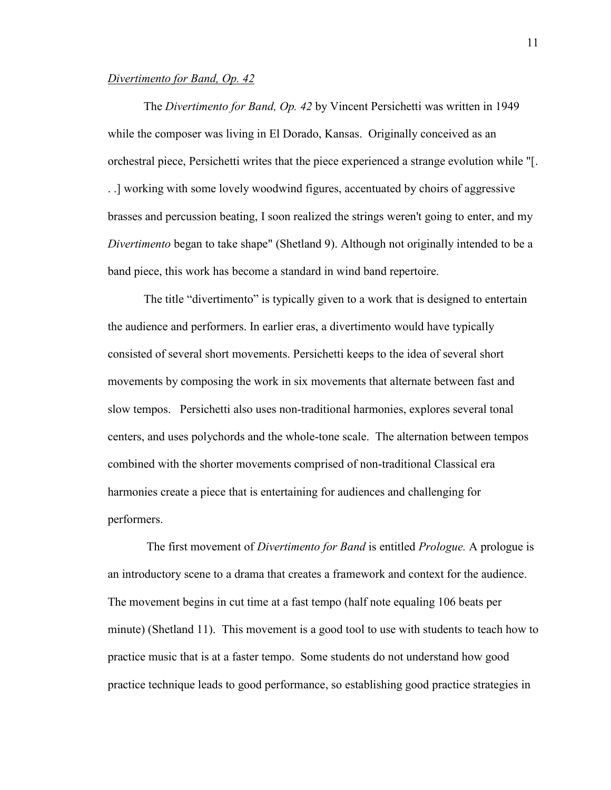### *Divertimento for Band, Op. 42*

The *Divertimento for Band, Op. 42* by Vincent Persichetti was written in 1949 while the composer was living in El Dorado, Kansas. Originally conceived as an orchestral piece, Persichetti writes that the piece experienced a strange evolution while "[. . .] working with some lovely woodwind figures, accentuated by choirs of aggressive brasses and percussion beating, I soon realized the strings weren't going to enter, and my *Divertimento* began to take shape" (Shetland 9). Although not originally intended to be a band piece, this work has become a standard in wind band repertoire.

The title "divertimento" is typically given to a work that is designed to entertain the audience and performers. In earlier eras, a divertimento would have typically consisted of several short movements. Persichetti keeps to the idea of several short movements by composing the work in six movements that alternate between fast and slow tempos. Persichetti also uses non-traditional harmonies, explores several tonal centers, and uses polychords and the whole-tone scale. The alternation between tempos combined with the shorter movements comprised of non-traditional Classical era harmonies create a piece that is entertaining for audiences and challenging for performers.

 The first movement of *Divertimento for Band* is entitled *Prologue.* A prologue is an introductory scene to a drama that creates a framework and context for the audience. The movement begins in cut time at a fast tempo (half note equaling 106 beats per minute) (Shetland 11). This movement is a good tool to use with students to teach how to practice music that is at a faster tempo. Some students do not understand how good practice technique leads to good performance, so establishing good practice strategies in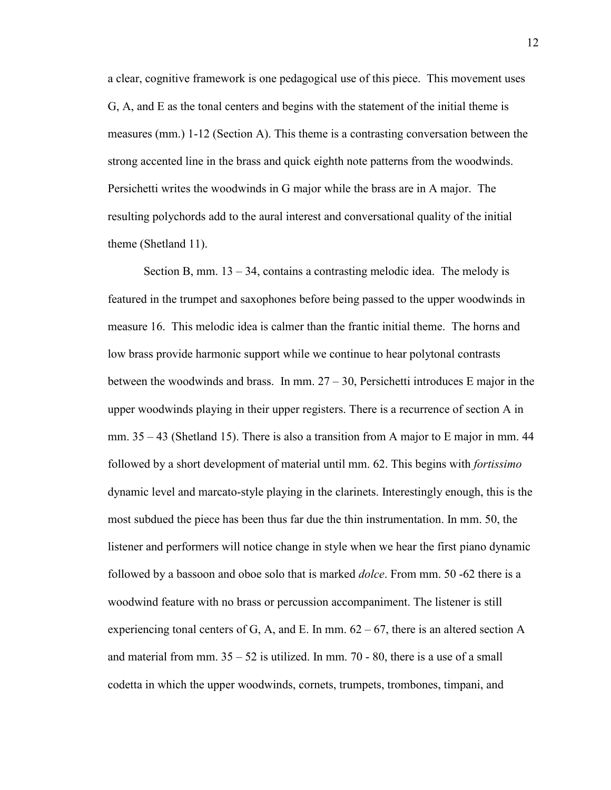a clear, cognitive framework is one pedagogical use of this piece. This movement uses G, A, and E as the tonal centers and begins with the statement of the initial theme is measures (mm.) 1-12 (Section A). This theme is a contrasting conversation between the strong accented line in the brass and quick eighth note patterns from the woodwinds. Persichetti writes the woodwinds in G major while the brass are in A major. The resulting polychords add to the aural interest and conversational quality of the initial theme (Shetland 11).

Section B, mm.  $13 - 34$ , contains a contrasting melodic idea. The melody is featured in the trumpet and saxophones before being passed to the upper woodwinds in measure 16. This melodic idea is calmer than the frantic initial theme. The horns and low brass provide harmonic support while we continue to hear polytonal contrasts between the woodwinds and brass. In mm.  $27 - 30$ , Persichetti introduces E major in the upper woodwinds playing in their upper registers. There is a recurrence of section A in mm.  $35 - 43$  (Shetland 15). There is also a transition from A major to E major in mm.  $44$ followed by a short development of material until mm. 62. This begins with *fortissimo* dynamic level and marcato-style playing in the clarinets. Interestingly enough, this is the most subdued the piece has been thus far due the thin instrumentation. In mm. 50, the listener and performers will notice change in style when we hear the first piano dynamic followed by a bassoon and oboe solo that is marked *dolce*. From mm. 50 -62 there is a woodwind feature with no brass or percussion accompaniment. The listener is still experiencing tonal centers of G, A, and E. In mm.  $62 - 67$ , there is an altered section A and material from mm.  $35 - 52$  is utilized. In mm.  $70 - 80$ , there is a use of a small codetta in which the upper woodwinds, cornets, trumpets, trombones, timpani, and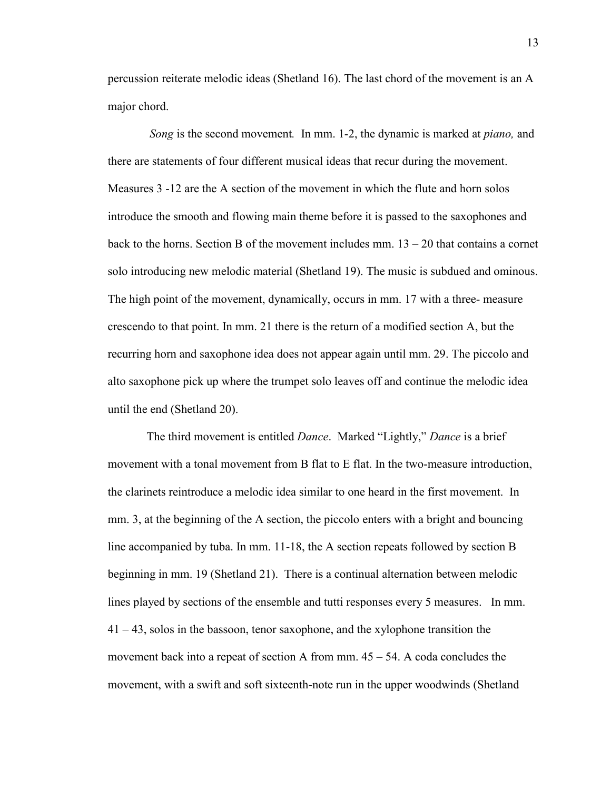percussion reiterate melodic ideas (Shetland 16). The last chord of the movement is an A major chord.

 *Song* is the second movement*.* In mm. 1-2, the dynamic is marked at *piano,* and there are statements of four different musical ideas that recur during the movement. Measures 3 -12 are the A section of the movement in which the flute and horn solos introduce the smooth and flowing main theme before it is passed to the saxophones and back to the horns. Section B of the movement includes mm.  $13 - 20$  that contains a cornet solo introducing new melodic material (Shetland 19). The music is subdued and ominous. The high point of the movement, dynamically, occurs in mm. 17 with a three- measure crescendo to that point. In mm. 21 there is the return of a modified section A, but the recurring horn and saxophone idea does not appear again until mm. 29. The piccolo and alto saxophone pick up where the trumpet solo leaves off and continue the melodic idea until the end (Shetland 20).

 The third movement is entitled *Dance*. Marked "Lightly," *Dance* is a brief movement with a tonal movement from B flat to E flat. In the two-measure introduction, the clarinets reintroduce a melodic idea similar to one heard in the first movement. In mm. 3, at the beginning of the A section, the piccolo enters with a bright and bouncing line accompanied by tuba. In mm. 11-18, the A section repeats followed by section B beginning in mm. 19 (Shetland 21). There is a continual alternation between melodic lines played by sections of the ensemble and tutti responses every 5 measures. In mm. 41 – 43, solos in the bassoon, tenor saxophone, and the xylophone transition the movement back into a repeat of section A from mm.  $45 - 54$ . A coda concludes the movement, with a swift and soft sixteenth-note run in the upper woodwinds (Shetland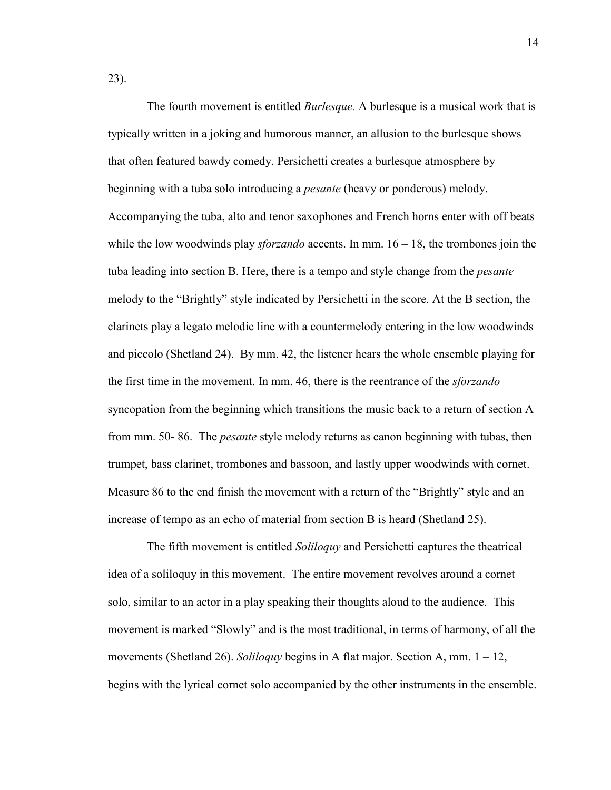23).

 The fourth movement is entitled *Burlesque.* A burlesque is a musical work that is typically written in a joking and humorous manner, an allusion to the burlesque shows that often featured bawdy comedy. Persichetti creates a burlesque atmosphere by beginning with a tuba solo introducing a *pesante* (heavy or ponderous) melody. Accompanying the tuba, alto and tenor saxophones and French horns enter with off beats while the low woodwinds play *sforzando* accents. In mm. 16 – 18, the trombones join the tuba leading into section B. Here, there is a tempo and style change from the *pesante*  melody to the "Brightly" style indicated by Persichetti in the score. At the B section, the clarinets play a legato melodic line with a countermelody entering in the low woodwinds and piccolo (Shetland 24). By mm. 42, the listener hears the whole ensemble playing for the first time in the movement. In mm. 46, there is the reentrance of the *sforzando* syncopation from the beginning which transitions the music back to a return of section A from mm. 50- 86. The *pesante* style melody returns as canon beginning with tubas, then trumpet, bass clarinet, trombones and bassoon, and lastly upper woodwinds with cornet. Measure 86 to the end finish the movement with a return of the "Brightly" style and an increase of tempo as an echo of material from section B is heard (Shetland 25).

 The fifth movement is entitled *Soliloquy* and Persichetti captures the theatrical idea of a soliloquy in this movement. The entire movement revolves around a cornet solo, similar to an actor in a play speaking their thoughts aloud to the audience. This movement is marked "Slowly" and is the most traditional, in terms of harmony, of all the movements (Shetland 26). *Soliloquy* begins in A flat major. Section A, mm. 1 – 12, begins with the lyrical cornet solo accompanied by the other instruments in the ensemble.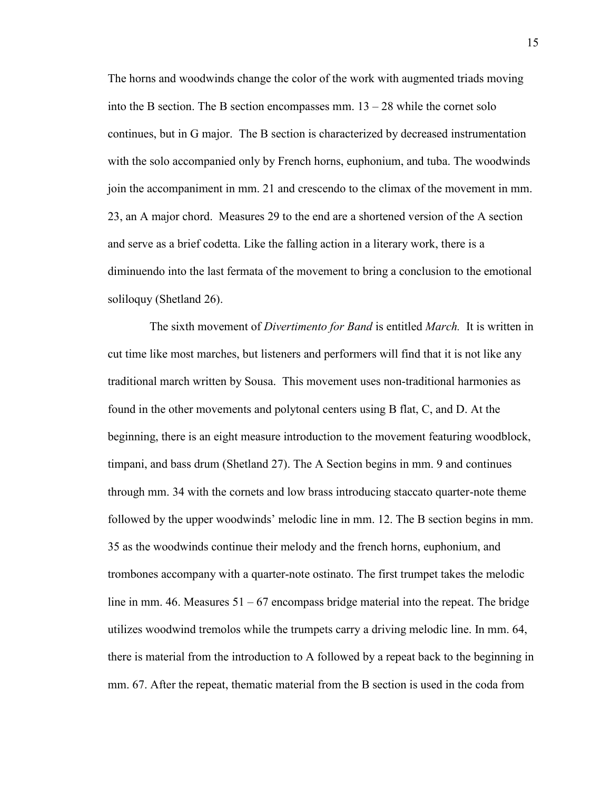The horns and woodwinds change the color of the work with augmented triads moving into the B section. The B section encompasses mm.  $13 - 28$  while the cornet solo continues, but in G major. The B section is characterized by decreased instrumentation with the solo accompanied only by French horns, euphonium, and tuba. The woodwinds join the accompaniment in mm. 21 and crescendo to the climax of the movement in mm. 23, an A major chord. Measures 29 to the end are a shortened version of the A section and serve as a brief codetta. Like the falling action in a literary work, there is a diminuendo into the last fermata of the movement to bring a conclusion to the emotional soliloquy (Shetland 26).

 The sixth movement of *Divertimento for Band* is entitled *March.* It is written in cut time like most marches, but listeners and performers will find that it is not like any traditional march written by Sousa. This movement uses non-traditional harmonies as found in the other movements and polytonal centers using B flat, C, and D. At the beginning, there is an eight measure introduction to the movement featuring woodblock, timpani, and bass drum (Shetland 27). The A Section begins in mm. 9 and continues through mm. 34 with the cornets and low brass introducing staccato quarter-note theme followed by the upper woodwinds' melodic line in mm. 12. The B section begins in mm. 35 as the woodwinds continue their melody and the french horns, euphonium, and trombones accompany with a quarter-note ostinato. The first trumpet takes the melodic line in mm. 46. Measures 51 – 67 encompass bridge material into the repeat. The bridge utilizes woodwind tremolos while the trumpets carry a driving melodic line. In mm. 64, there is material from the introduction to A followed by a repeat back to the beginning in mm. 67. After the repeat, thematic material from the B section is used in the coda from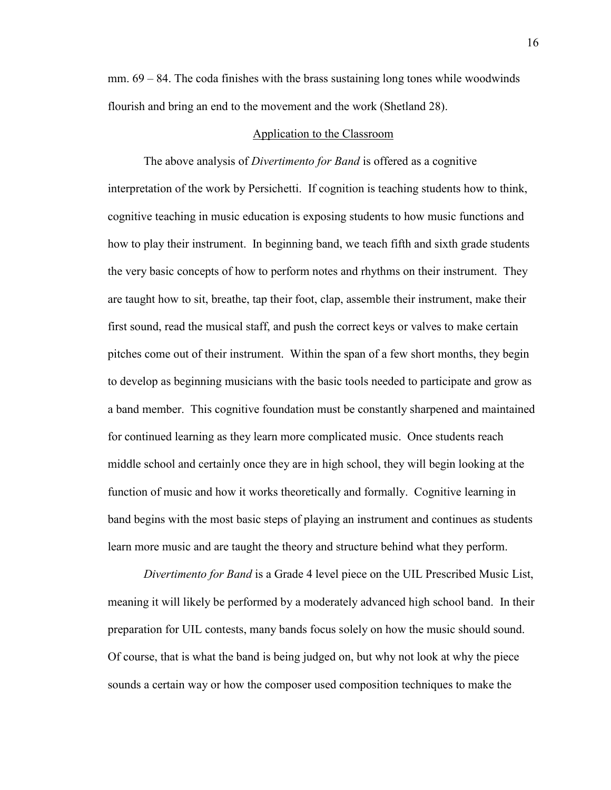$mm. 69 - 84.$  The coda finishes with the brass sustaining long tones while woodwinds flourish and bring an end to the movement and the work (Shetland 28).

### Application to the Classroom

The above analysis of *Divertimento for Band* is offered as a cognitive interpretation of the work by Persichetti. If cognition is teaching students how to think, cognitive teaching in music education is exposing students to how music functions and how to play their instrument. In beginning band, we teach fifth and sixth grade students the very basic concepts of how to perform notes and rhythms on their instrument. They are taught how to sit, breathe, tap their foot, clap, assemble their instrument, make their first sound, read the musical staff, and push the correct keys or valves to make certain pitches come out of their instrument. Within the span of a few short months, they begin to develop as beginning musicians with the basic tools needed to participate and grow as a band member. This cognitive foundation must be constantly sharpened and maintained for continued learning as they learn more complicated music. Once students reach middle school and certainly once they are in high school, they will begin looking at the function of music and how it works theoretically and formally. Cognitive learning in band begins with the most basic steps of playing an instrument and continues as students learn more music and are taught the theory and structure behind what they perform.

*Divertimento for Band* is a Grade 4 level piece on the UIL Prescribed Music List, meaning it will likely be performed by a moderately advanced high school band. In their preparation for UIL contests, many bands focus solely on how the music should sound. Of course, that is what the band is being judged on, but why not look at why the piece sounds a certain way or how the composer used composition techniques to make the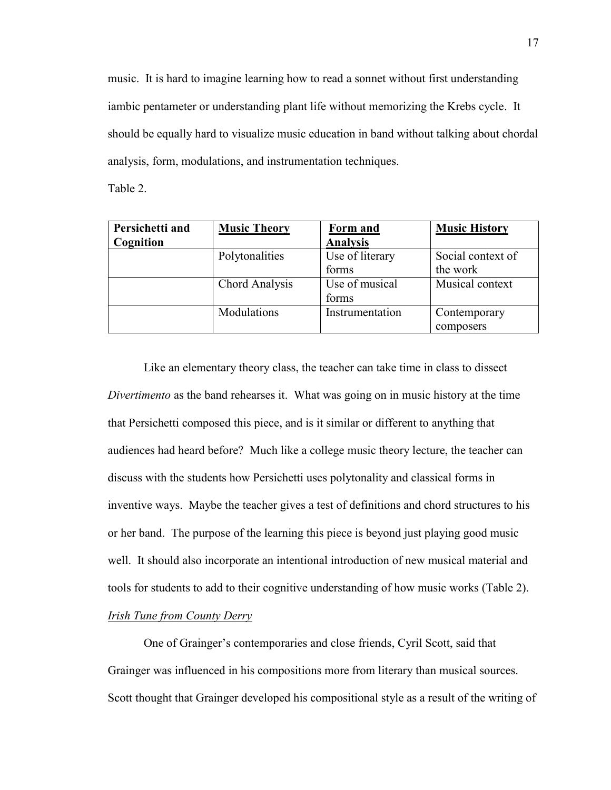music. It is hard to imagine learning how to read a sonnet without first understanding iambic pentameter or understanding plant life without memorizing the Krebs cycle. It should be equally hard to visualize music education in band without talking about chordal analysis, form, modulations, and instrumentation techniques.

Table 2.

| Persichetti and | <b>Music Theory</b> | Form and        | <b>Music History</b> |
|-----------------|---------------------|-----------------|----------------------|
| Cognition       |                     | <b>Analysis</b> |                      |
|                 | Polytonalities      | Use of literary | Social context of    |
|                 |                     | forms           | the work             |
|                 | Chord Analysis      | Use of musical  | Musical context      |
|                 |                     | forms           |                      |
|                 | Modulations         | Instrumentation | Contemporary         |
|                 |                     |                 | composers            |

Like an elementary theory class, the teacher can take time in class to dissect *Divertimento* as the band rehearses it. What was going on in music history at the time that Persichetti composed this piece, and is it similar or different to anything that audiences had heard before? Much like a college music theory lecture, the teacher can discuss with the students how Persichetti uses polytonality and classical forms in inventive ways. Maybe the teacher gives a test of definitions and chord structures to his or her band. The purpose of the learning this piece is beyond just playing good music well. It should also incorporate an intentional introduction of new musical material and tools for students to add to their cognitive understanding of how music works (Table 2). *Irish Tune from County Derry*

One of Grainger's contemporaries and close friends, Cyril Scott, said that Grainger was influenced in his compositions more from literary than musical sources. Scott thought that Grainger developed his compositional style as a result of the writing of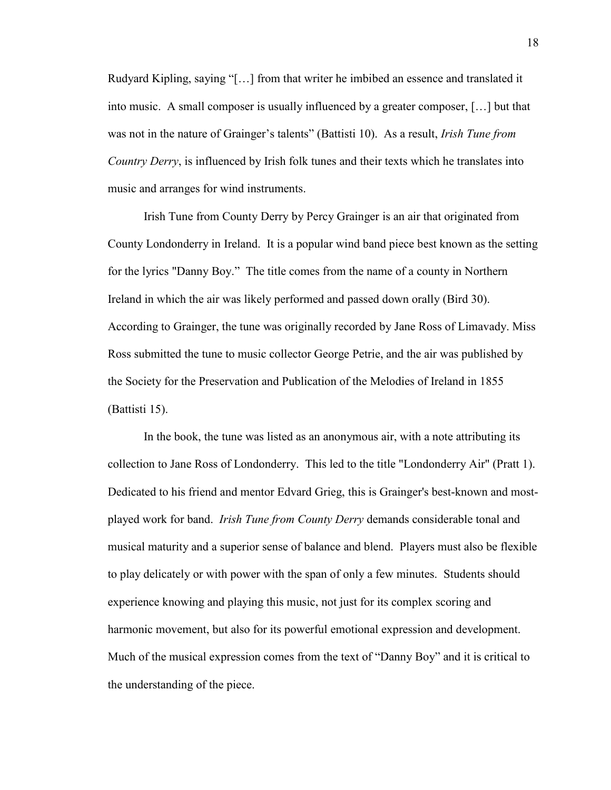Rudyard Kipling, saying "[…] from that writer he imbibed an essence and translated it into music. A small composer is usually influenced by a greater composer, […] but that was not in the nature of Grainger's talents" (Battisti 10). As a result, *Irish Tune from Country Derry*, is influenced by Irish folk tunes and their texts which he translates into music and arranges for wind instruments.

Irish Tune from County Derry by Percy Grainger is an air that originated from County Londonderry in Ireland. It is a popular wind band piece best known as the setting for the lyrics "Danny Boy." The title comes from the name of a county in Northern Ireland in which the air was likely performed and passed down orally (Bird 30). According to Grainger, the tune was originally recorded by Jane Ross of Limavady. Miss Ross submitted the tune to music collector George Petrie, and the air was published by the Society for the Preservation and Publication of the Melodies of Ireland in 1855 (Battisti 15).

In the book, the tune was listed as an anonymous air, with a note attributing its collection to Jane Ross of Londonderry. This led to the title "Londonderry Air" (Pratt 1). Dedicated to his friend and mentor Edvard Grieg, this is Grainger's best-known and mostplayed work for band. *Irish Tune from County Derry* demands considerable tonal and musical maturity and a superior sense of balance and blend. Players must also be flexible to play delicately or with power with the span of only a few minutes. Students should experience knowing and playing this music, not just for its complex scoring and harmonic movement, but also for its powerful emotional expression and development. Much of the musical expression comes from the text of "Danny Boy" and it is critical to the understanding of the piece.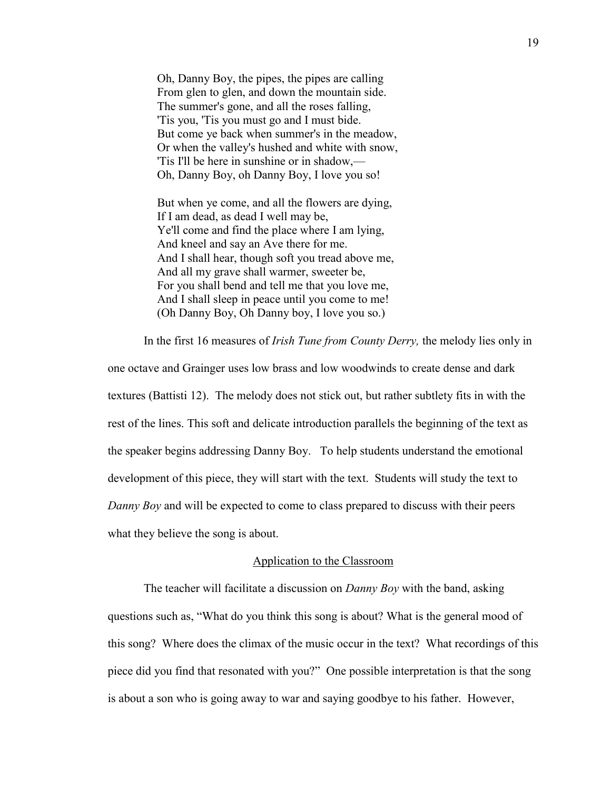Oh, Danny Boy, the pipes, the pipes are calling From glen to glen, and down the mountain side. The summer's gone, and all the roses falling, 'Tis you, 'Tis you must go and I must bide. But come ye back when summer's in the meadow, Or when the valley's hushed and white with snow, 'Tis I'll be here in sunshine or in shadow,— Oh, Danny Boy, oh Danny Boy, I love you so!

But when ye come, and all the flowers are dying, If I am dead, as dead I well may be, Ye'll come and find the place where I am lying, And kneel and say an Ave there for me. And I shall hear, though soft you tread above me, And all my grave shall warmer, sweeter be, For you shall bend and tell me that you love me, And I shall sleep in peace until you come to me! (Oh Danny Boy, Oh Danny boy, I love you so.)

In the first 16 measures of *Irish Tune from County Derry,* the melody lies only in

one octave and Grainger uses low brass and low woodwinds to create dense and dark textures (Battisti 12). The melody does not stick out, but rather subtlety fits in with the rest of the lines. This soft and delicate introduction parallels the beginning of the text as the speaker begins addressing Danny Boy. To help students understand the emotional development of this piece, they will start with the text. Students will study the text to *Danny Boy* and will be expected to come to class prepared to discuss with their peers what they believe the song is about.

#### Application to the Classroom

The teacher will facilitate a discussion on *Danny Boy* with the band, asking questions such as, "What do you think this song is about? What is the general mood of this song? Where does the climax of the music occur in the text? What recordings of this piece did you find that resonated with you?" One possible interpretation is that the song is about a son who is going away to war and saying goodbye to his father. However,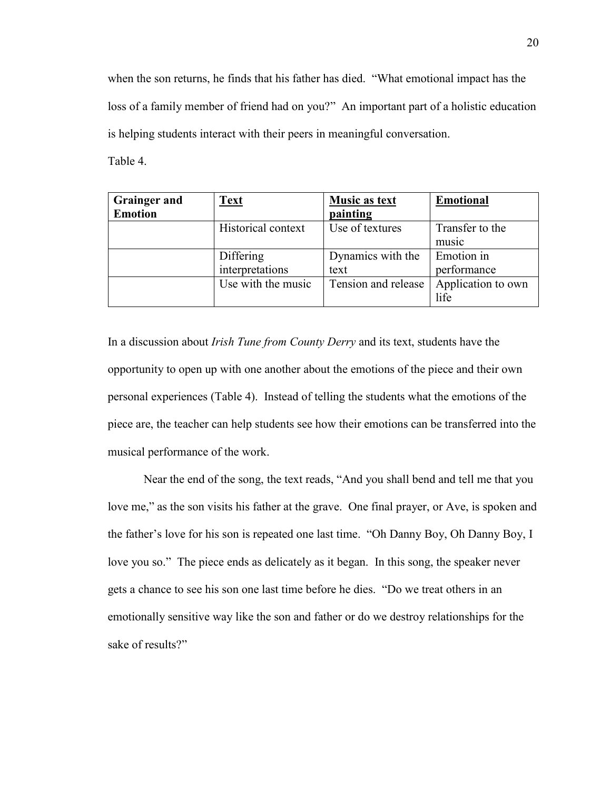when the son returns, he finds that his father has died. "What emotional impact has the loss of a family member of friend had on you?" An important part of a holistic education is helping students interact with their peers in meaningful conversation.

Table 4.

| <b>Grainger and</b> | <b>Text</b>        | <b>Music as text</b> | <b>Emotional</b>   |
|---------------------|--------------------|----------------------|--------------------|
| <b>Emotion</b>      |                    | painting             |                    |
|                     | Historical context | Use of textures      | Transfer to the    |
|                     |                    |                      | music              |
|                     | <b>Differing</b>   | Dynamics with the    | Emotion in         |
|                     | interpretations    | text                 | performance        |
|                     | Use with the music | Tension and release  | Application to own |
|                     |                    |                      | life               |

In a discussion about *Irish Tune from County Derry* and its text, students have the opportunity to open up with one another about the emotions of the piece and their own personal experiences (Table 4). Instead of telling the students what the emotions of the piece are, the teacher can help students see how their emotions can be transferred into the musical performance of the work.

Near the end of the song, the text reads, "And you shall bend and tell me that you love me," as the son visits his father at the grave. One final prayer, or Ave, is spoken and the father's love for his son is repeated one last time. "Oh Danny Boy, Oh Danny Boy, I love you so." The piece ends as delicately as it began. In this song, the speaker never gets a chance to see his son one last time before he dies. "Do we treat others in an emotionally sensitive way like the son and father or do we destroy relationships for the sake of results?"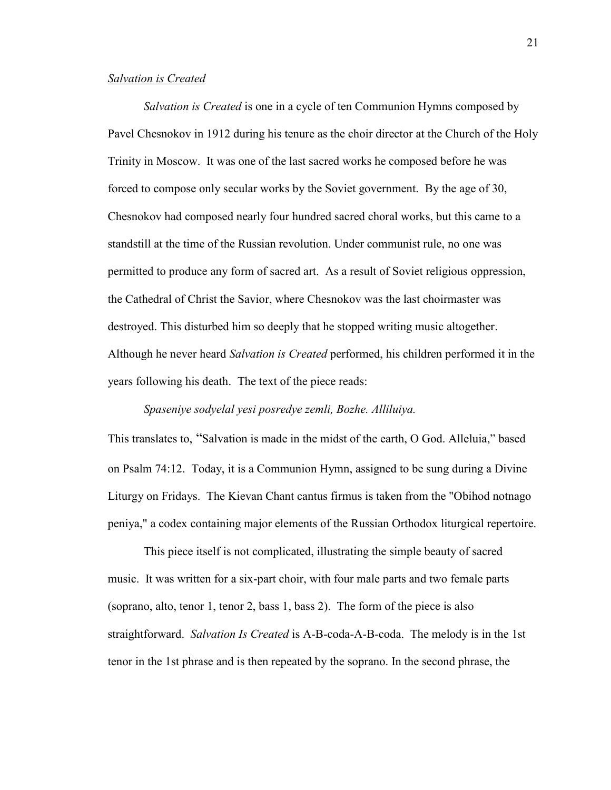#### *Salvation is Created*

*Salvation is Created* is one in a cycle of ten Communion Hymns composed by Pavel Chesnokov in 1912 during his tenure as the choir director at the Church of the Holy Trinity in Moscow. It was one of the last sacred works he composed before he was forced to compose only secular works by the [Soviet](http://en.wikipedia.org/wiki/Soviet_Union) government. By the age of 30, Chesnokov had composed nearly four hundred sacred choral works, but this came to a standstill at the time of the [Russian revolution.](http://en.wikipedia.org/wiki/Russian_Revolution_(1917)) Under communist rule, no one was permitted to produce any form of sacred art. As a result of [Soviet](http://en.wikipedia.org/wiki/Soviet_Union) religious oppression, the [Cathedral of Christ the Savior,](http://en.wikipedia.org/wiki/Cathedral_of_Christ_the_Saviour) where Chesnokov was the last choirmaster was destroyed. This disturbed him so deeply that he stopped writing music altogether. Although he never heard *Salvation is Created* performed, his children performed it in the years following his death. The text of the piece reads:

## *Spaseniye sodyelal yesi posredye zemli, Bozhe. Alliluiya.*

This translates to, "Salvation is made in the midst of the earth, O God. Alleluia," based on Psalm 74:12. Today, it is a Communion Hymn, assigned to be sung during a Divine Liturgy on Fridays. The Kievan Chant cantus firmus is taken from the "Obihod notnago peniya," a codex containing major elements of the Russian Orthodox liturgical repertoire.

This piece itself is not complicated, illustrating the simple beauty of sacred music. It was written for a six-part choir, with four male parts and two female parts (soprano, alto, tenor 1, tenor 2, bass 1, bass 2). The [form](http://tonaldiversions.com/music-theory-concepts/) of the piece is also straightforward. *Salvation Is Created* is A-B[-coda-](http://dictionary.onmusic.org/)A-B-coda. The melody is in the 1st tenor in the 1st phrase and is then repeated by the soprano. In the second phrase, the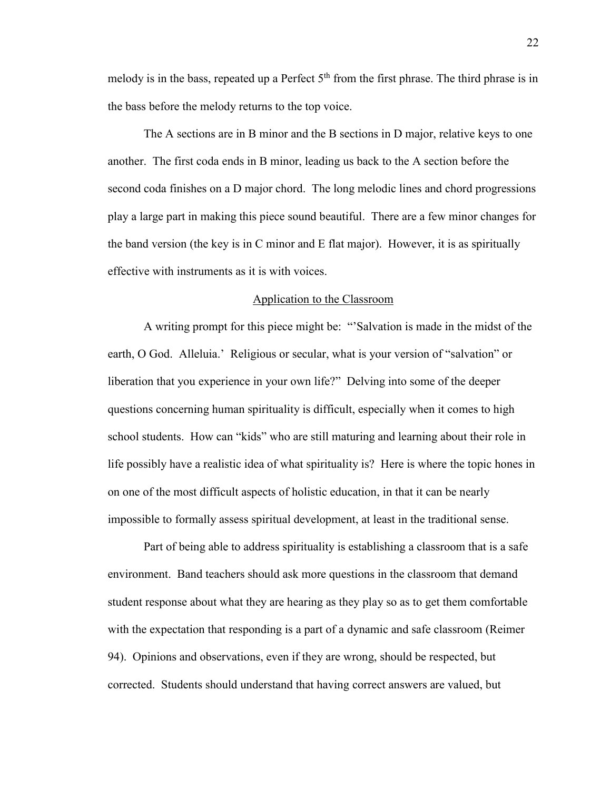melody is in the bass, repeated up a Perfect  $5<sup>th</sup>$  from the first phrase. The third phrase is in the bass before the melody returns to the top voice.

The A sections are in B minor and the B sections in D major, relative keys to one another. The first coda ends in B minor, leading us back to the A section before the second coda finishes on a D major chord. The long melodic lines and chord progressions play a large part in making this piece sound beautiful. There are a few minor changes for the band version (the key is in C minor and E flat major). However, it is as spiritually effective with instruments as it is with voices.

### Application to the Classroom

A writing prompt for this piece might be: "'Salvation is made in the midst of the earth, O God. Alleluia.' Religious or secular, what is your version of "salvation" or liberation that you experience in your own life?" Delving into some of the deeper questions concerning human spirituality is difficult, especially when it comes to high school students. How can "kids" who are still maturing and learning about their role in life possibly have a realistic idea of what spirituality is? Here is where the topic hones in on one of the most difficult aspects of holistic education, in that it can be nearly impossible to formally assess spiritual development, at least in the traditional sense.

Part of being able to address spirituality is establishing a classroom that is a safe environment. Band teachers should ask more questions in the classroom that demand student response about what they are hearing as they play so as to get them comfortable with the expectation that responding is a part of a dynamic and safe classroom (Reimer 94). Opinions and observations, even if they are wrong, should be respected, but corrected. Students should understand that having correct answers are valued, but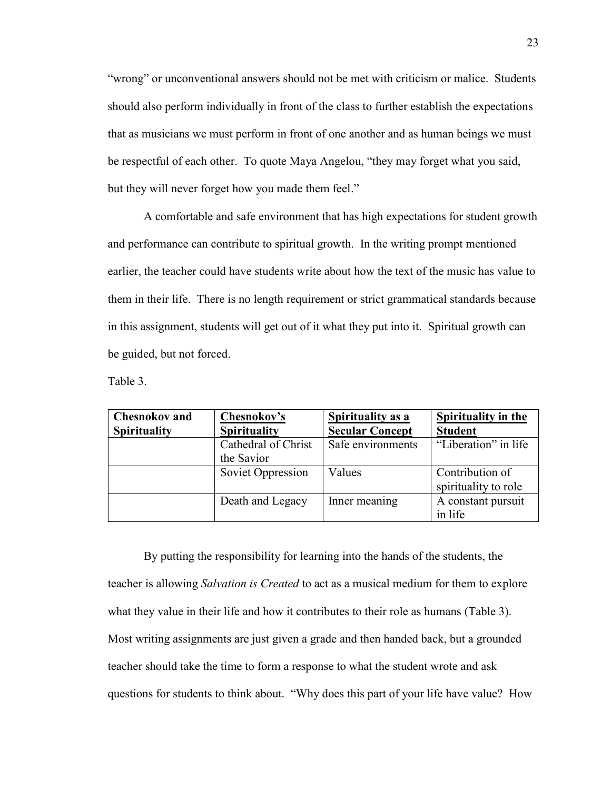"wrong" or unconventional answers should not be met with criticism or malice. Students should also perform individually in front of the class to further establish the expectations that as musicians we must perform in front of one another and as human beings we must be respectful of each other. To quote Maya Angelou, "they may forget what you said, but they will never forget how you made them feel."

A comfortable and safe environment that has high expectations for student growth and performance can contribute to spiritual growth. In the writing prompt mentioned earlier, the teacher could have students write about how the text of the music has value to them in their life. There is no length requirement or strict grammatical standards because in this assignment, students will get out of it what they put into it. Spiritual growth can be guided, but not forced.

Table 3.

| <b>Chesnokov and</b> | Chesnokov's         | <b>Spirituality as a</b> | <b>Spirituality in the</b> |
|----------------------|---------------------|--------------------------|----------------------------|
| <b>Spirituality</b>  | <b>Spirituality</b> | <b>Secular Concept</b>   | <b>Student</b>             |
|                      | Cathedral of Christ | Safe environments        | "Liberation" in life       |
|                      | the Savior          |                          |                            |
|                      | Soviet Oppression   | Values                   | Contribution of            |
|                      |                     |                          | spirituality to role       |
|                      | Death and Legacy    | Inner meaning            | A constant pursuit         |
|                      |                     |                          | in life                    |

By putting the responsibility for learning into the hands of the students, the teacher is allowing *Salvation is Created* to act as a musical medium for them to explore what they value in their life and how it contributes to their role as humans (Table 3). Most writing assignments are just given a grade and then handed back, but a grounded teacher should take the time to form a response to what the student wrote and ask questions for students to think about. "Why does this part of your life have value? How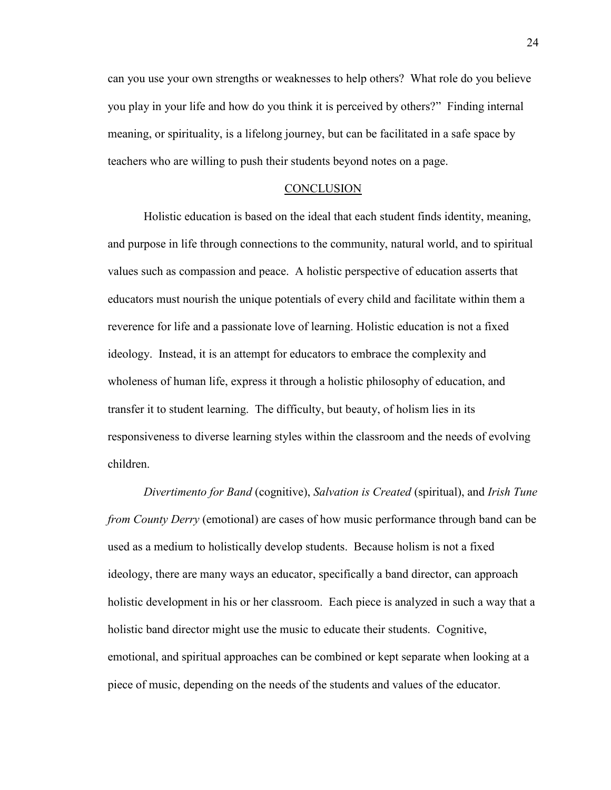can you use your own strengths or weaknesses to help others? What role do you believe you play in your life and how do you think it is perceived by others?" Finding internal meaning, or spirituality, is a lifelong journey, but can be facilitated in a safe space by teachers who are willing to push their students beyond notes on a page.

## **CONCLUSION**

Holistic education is based on the ideal that each student finds identity, meaning, and purpose in life through connections to the community, natural world, and to spiritual values such as compassion and peace. A holistic perspective of education asserts that educators must nourish the unique potentials of every child and facilitate within them a reverence for life and a passionate love of learning. Holistic education is not a fixed ideology. Instead, it is an attempt for educators to embrace the complexity and wholeness of human life, express it through a holistic philosophy of education, and transfer it to student learning. The difficulty, but beauty, of holism lies in its responsiveness to diverse learning styles within the classroom and the needs of evolving children.

*Divertimento for Band* (cognitive), *Salvation is Created* (spiritual), and *Irish Tune from County Derry* (emotional) are cases of how music performance through band can be used as a medium to holistically develop students. Because holism is not a fixed ideology, there are many ways an educator, specifically a band director, can approach holistic development in his or her classroom. Each piece is analyzed in such a way that a holistic band director might use the music to educate their students. Cognitive, emotional, and spiritual approaches can be combined or kept separate when looking at a piece of music, depending on the needs of the students and values of the educator.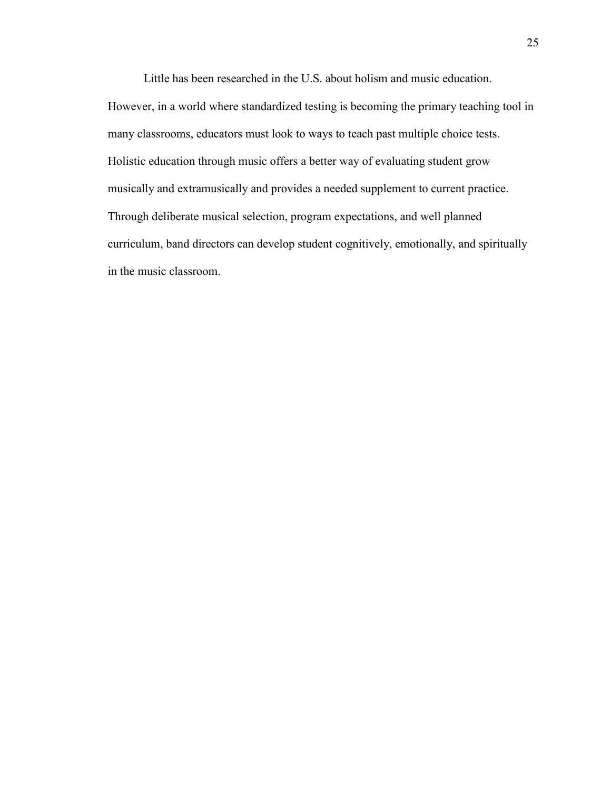Little has been researched in the U.S. about holism and music education. However, in a world where standardized testing is becoming the primary teaching tool in many classrooms, educators must look to ways to teach past multiple choice tests. Holistic education through music offers a better way of evaluating student grow musically and extramusically and provides a needed supplement to current practice. Through deliberate musical selection, program expectations, and well planned curriculum, band directors can develop student cognitively, emotionally, and spiritually in the music classroom.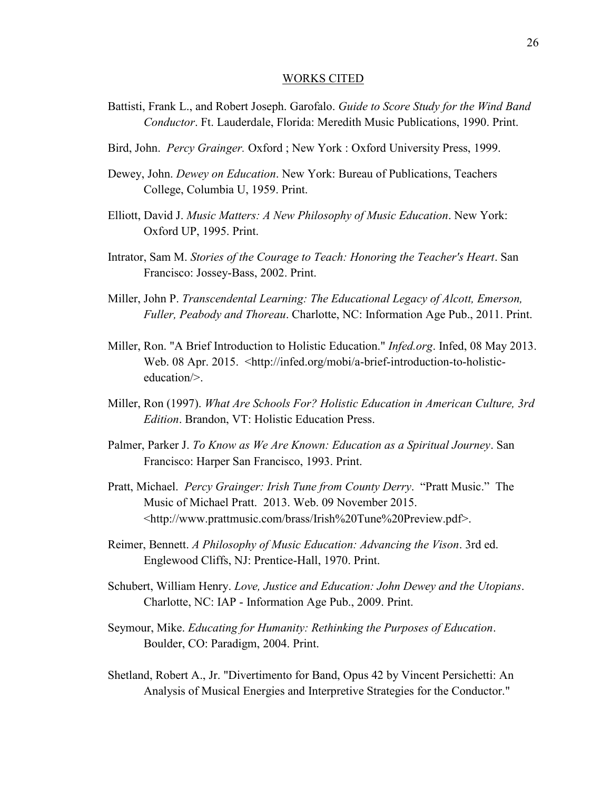#### WORKS CITED

- Battisti, Frank L., and Robert Joseph. Garofalo. *Guide to Score Study for the Wind Band Conductor*. Ft. Lauderdale, Florida: Meredith Music Publications, 1990. Print.
- Bird, John. *Percy Grainger.* Oxford ; New York : Oxford University Press, 1999.
- Dewey, John. *Dewey on Education*. New York: Bureau of Publications, Teachers College, Columbia U, 1959. Print.
- Elliott, David J. *Music Matters: A New Philosophy of Music Education*. New York: Oxford UP, 1995. Print.
- Intrator, Sam M. *Stories of the Courage to Teach: Honoring the Teacher's Heart*. San Francisco: Jossey-Bass, 2002. Print.
- Miller, John P. *Transcendental Learning: The Educational Legacy of Alcott, Emerson, Fuller, Peabody and Thoreau*. Charlotte, NC: Information Age Pub., 2011. Print.
- Miller, Ron. "A Brief Introduction to Holistic Education." *Infed.org*. Infed, 08 May 2013. Web. 08 Apr. 2015. <http://infed.org/mobi/a-brief-introduction-to-holisticeducation/>.
- Miller, Ron (1997). *What Are Schools For? Holistic Education in American Culture, 3rd Edition*. Brandon, VT: Holistic Education Press.
- Palmer, Parker J. *To Know as We Are Known: Education as a Spiritual Journey*. San Francisco: Harper San Francisco, 1993. Print.
- Pratt, Michael. *Percy Grainger: Irish Tune from County Derry*. "Pratt Music." The Music of Michael Pratt. 2013. Web. 09 November 2015. <http://www.prattmusic.com/brass/Irish%20Tune%20Preview.pdf>.
- Reimer, Bennett. *A Philosophy of Music Education: Advancing the Vison*. 3rd ed. Englewood Cliffs, NJ: Prentice-Hall, 1970. Print.
- Schubert, William Henry. *Love, Justice and Education: John Dewey and the Utopians*. Charlotte, NC: IAP - Information Age Pub., 2009. Print.
- Seymour, Mike. *Educating for Humanity: Rethinking the Purposes of Education*. Boulder, CO: Paradigm, 2004. Print.
- Shetland, Robert A., Jr. "Divertimento for Band, Opus 42 by Vincent Persichetti: An Analysis of Musical Energies and Interpretive Strategies for the Conductor."